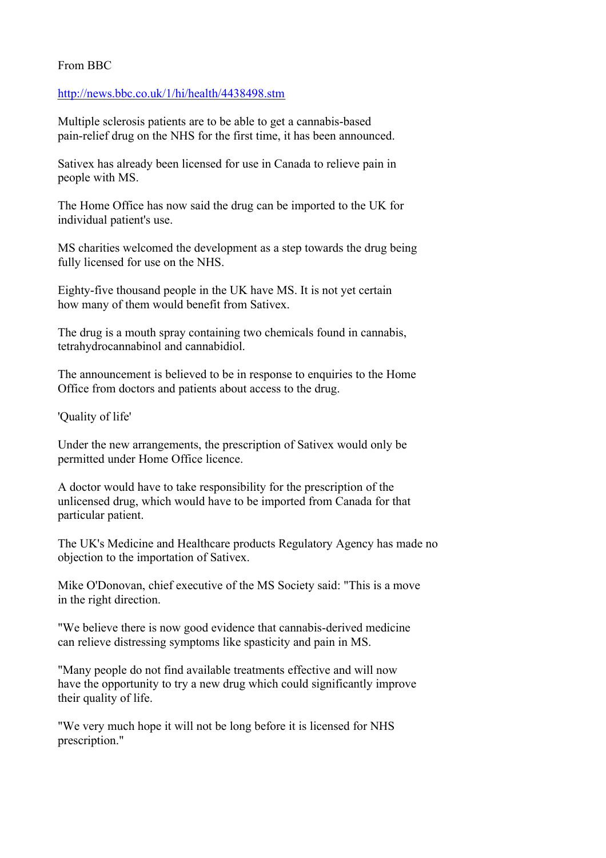## From BBC

## [http://news.bbc.co.uk/1/hi/health/4438498.stm](http://news.bbc.co.uk/1/hi/health/4438498.stm_blank)

Multiple sclerosis patients are to be able to get a cannabis-based pain-relief drug on the NHS for the first time, it has been announced.

Sativex has already been licensed for use in Canada to relieve pain in people with MS.

The Home Office has now said the drug can be imported to the UK for individual patient's use.

MS charities welcomed the development as a step towards the drug being fully licensed for use on the NHS.

Eighty-five thousand people in the UK have MS. It is not yet certain how many of them would benefit from Sativex.

The drug is a mouth spray containing two chemicals found in cannabis, tetrahydrocannabinol and cannabidiol.

The announcement is believed to be in response to enquiries to the Home Office from doctors and patients about access to the drug.

'Quality of life'

Under the new arrangements, the prescription of Sativex would only be permitted under Home Office licence.

A doctor would have to take responsibility for the prescription of the unlicensed drug, which would have to be imported from Canada for that particular patient.

The UK's Medicine and Healthcare products Regulatory Agency has made no objection to the importation of Sativex.

Mike O'Donovan, chief executive of the MS Society said: "This is a move in the right direction.

"We believe there is now good evidence that cannabis-derived medicine can relieve distressing symptoms like spasticity and pain in MS.

"Many people do not find available treatments effective and will now have the opportunity to try a new drug which could significantly improve their quality of life.

"We very much hope it will not be long before it is licensed for NHS prescription."